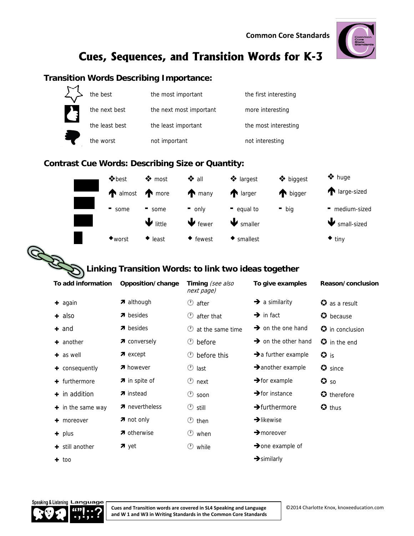**Common Core Standards**



## **Cues, Sequences, and Transition Words for K-3**

#### **Transition Words Describing Importance:**



#### **Contrast Cue Words: Describing Size or Quantity:**



### **Linking Transition Words: to link two ideas together**

| To add information     | Opposition/change     | Timing (see also<br>next page) | To give examples                | Reason/conclusion                        |
|------------------------|-----------------------|--------------------------------|---------------------------------|------------------------------------------|
| $+$ again              | $\lambda$ although    | $\circledcirc$ after           | $\rightarrow$ a similarity      | $\bullet$ as a result                    |
| $\pm$ also             | $\pi$ besides         | after that<br>$\circledcirc$   | $\rightarrow$ in fact           | $\bullet$ because                        |
| $+$ and                | $\pi$ besides         | at the same time<br>(1)        | $\rightarrow$ on the one hand   | $\boldsymbol{\mathcal{G}}$ in conclusion |
| $+$ another            | 7 conversely          | before<br>$\circ$              | $\rightarrow$ on the other hand | $\boldsymbol{\omega}$ in the end         |
| $\pm$ as well          | $\pi$ except          | before this<br>$\circ$         | $\rightarrow$ a further example | $\bullet$ is                             |
| $+$ consequently       | <b>7</b> however      | $^\circledR$<br>last           | $\rightarrow$ another example   | $\bullet$ since                          |
| $+$ furthermore        | <b>7</b> in spite of  | $\circledcirc$ next            | $\rightarrow$ for example       | $\bullet$ so                             |
| $+$ in addition        | <b>7</b> instead      | $\circledcirc$ soon            | $\rightarrow$ for instance      | $\bullet$ therefore                      |
| $\div$ in the same way | <b>7</b> nevertheless | $\circledcirc$ still           | $\rightarrow$ furthermore       | $\bullet$ thus                           |
| $+$ moreover           | $\pi$ not only        | $\circledcirc$<br>then         | $\rightarrow$ likewise          |                                          |
| $+$ plus               | 7 otherwise           | $\circ$<br>when                | $\rightarrow$ moreover          |                                          |
| $\div$ still another   | $\pi$ yet             | O<br>while                     | $\rightarrow$ one example of    |                                          |
| $+$ too                |                       |                                | $\rightarrow$ similarly         |                                          |



**Cues and Transition words are covered in SL4 Speaking and Language and W 1 and W3 in Writing Standards in the Common Core Standards**